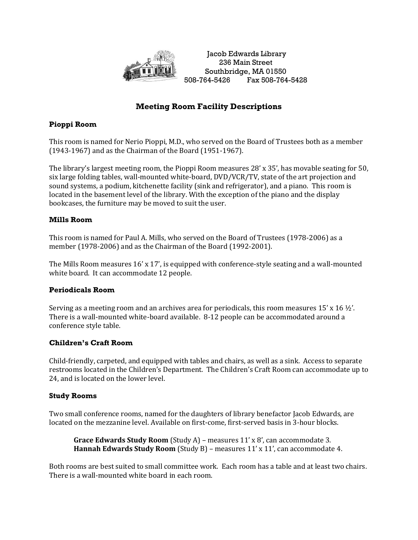

Jacob Edwards Library 236 Main Street Southbridge, MA 01550 508-764-5426 Fax 508-764-5428

# **Meeting Room Facility Descriptions**

## **Pioppi Room**

This room is named for Nerio Pioppi, M.D., who served on the Board of Trustees both as a member (1943-1967) and as the Chairman of the Board (1951-1967).

The library's largest meeting room, the Pioppi Room measures 28' x 35', has movable seating for 50, six large folding tables, wall-mounted white-board, DVD/VCR/TV, state of the art projection and sound systems, a podium, kitchenette facility (sink and refrigerator), and a piano. This room is located in the basement level of the library. With the exception of the piano and the display bookcases, the furniture may be moved to suit the user.

## **Mills Room**

This room is named for Paul A. Mills, who served on the Board of Trustees (1978-2006) as a member (1978-2006) and as the Chairman of the Board (1992-2001).

The Mills Room measures 16' x 17', is equipped with conference-style seating and a wall-mounted white board. It can accommodate 12 people.

## **Periodicals Room**

Serving as a meeting room and an archives area for periodicals, this room measures  $15'$  x  $16\frac{1}{2}$ . There is a wall-mounted white-board available. 8-12 people can be accommodated around a conference style table.

## **Children's Craft Room**

Child-friendly, carpeted, and equipped with tables and chairs, as well as a sink. Access to separate restrooms located in the Children's Department. The Children's Craft Room can accommodate up to 24, and is located on the lower level.

## **Study Rooms**

Two small conference rooms, named for the daughters of library benefactor Jacob Edwards, are located on the mezzanine level. Available on first-come, first-served basis in 3-hour blocks.

**Grace Edwards Study Room** (Study A) – measures 11' x 8', can accommodate 3. **Hannah Edwards Study Room** (Study B) – measures 11' x 11', can accommodate 4.

Both rooms are best suited to small committee work. Each room has a table and at least two chairs. There is a wall-mounted white board in each room.